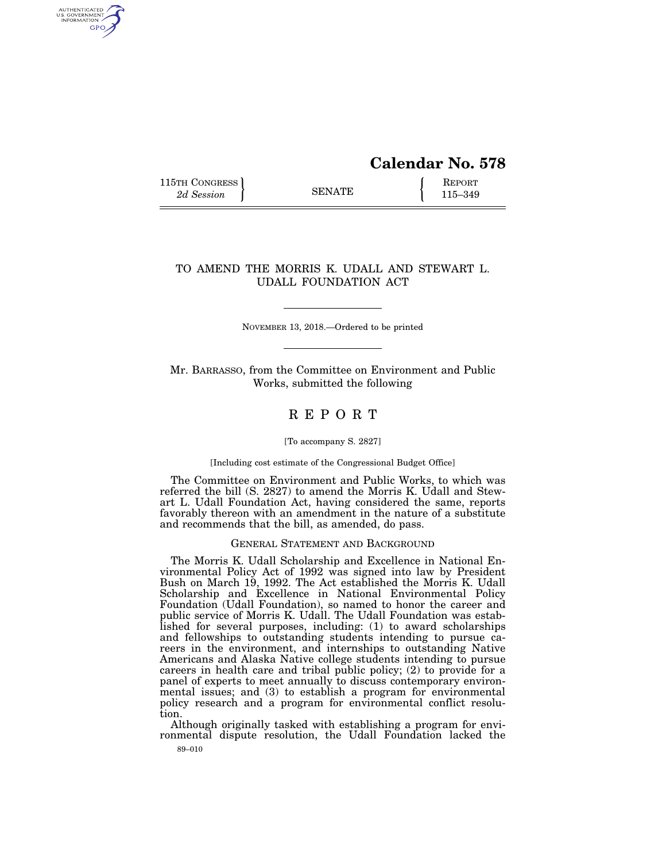# **Calendar No. 578**

115TH CONGRESS **REPORT** 2d Session **115–349** 

AUTHENTICATED<br>U.S. GOVERNMENT<br>INFORMATION **GPO** 

# TO AMEND THE MORRIS K. UDALL AND STEWART L. UDALL FOUNDATION ACT

NOVEMBER 13, 2018.—Ordered to be printed

Mr. BARRASSO, from the Committee on Environment and Public Works, submitted the following

# R E P O R T

[To accompany S. 2827]

[Including cost estimate of the Congressional Budget Office]

The Committee on Environment and Public Works, to which was referred the bill (S. 2827) to amend the Morris K. Udall and Stewart L. Udall Foundation Act, having considered the same, reports favorably thereon with an amendment in the nature of a substitute and recommends that the bill, as amended, do pass.

## GENERAL STATEMENT AND BACKGROUND

The Morris K. Udall Scholarship and Excellence in National Environmental Policy Act of 1992 was signed into law by President Bush on March 19, 1992. The Act established the Morris K. Udall Scholarship and Excellence in National Environmental Policy Foundation (Udall Foundation), so named to honor the career and public service of Morris K. Udall. The Udall Foundation was established for several purposes, including: (1) to award scholarships and fellowships to outstanding students intending to pursue careers in the environment, and internships to outstanding Native Americans and Alaska Native college students intending to pursue careers in health care and tribal public policy; (2) to provide for a panel of experts to meet annually to discuss contemporary environmental issues; and (3) to establish a program for environmental policy research and a program for environmental conflict resolution.

89–010 Although originally tasked with establishing a program for environmental dispute resolution, the Udall Foundation lacked the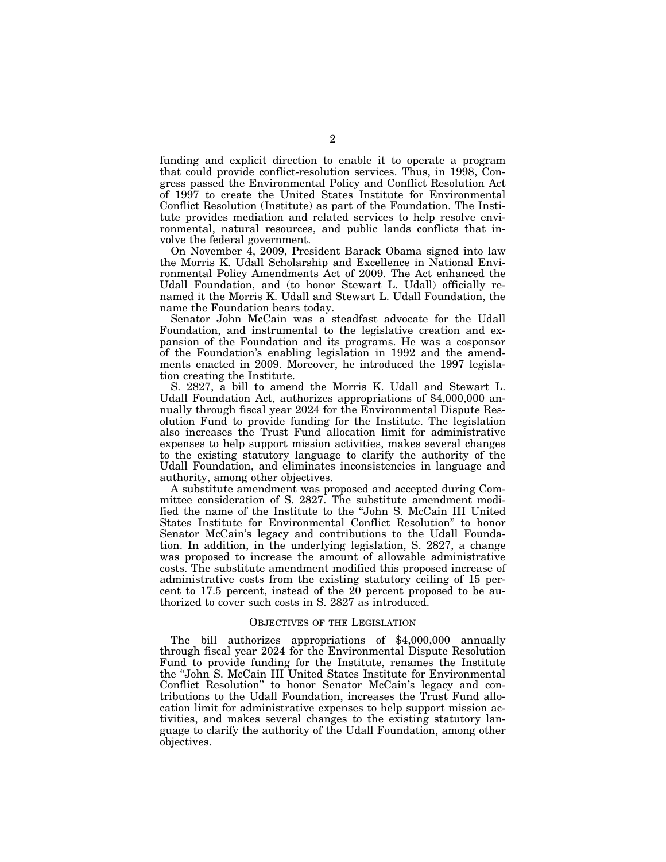funding and explicit direction to enable it to operate a program that could provide conflict-resolution services. Thus, in 1998, Congress passed the Environmental Policy and Conflict Resolution Act of 1997 to create the United States Institute for Environmental Conflict Resolution (Institute) as part of the Foundation. The Institute provides mediation and related services to help resolve environmental, natural resources, and public lands conflicts that involve the federal government.

On November  $\overline{4}$ , 2009, President Barack Obama signed into law the Morris K. Udall Scholarship and Excellence in National Environmental Policy Amendments Act of 2009. The Act enhanced the Udall Foundation, and (to honor Stewart L. Udall) officially renamed it the Morris K. Udall and Stewart L. Udall Foundation, the name the Foundation bears today.

Senator John McCain was a steadfast advocate for the Udall Foundation, and instrumental to the legislative creation and expansion of the Foundation and its programs. He was a cosponsor of the Foundation's enabling legislation in 1992 and the amendments enacted in 2009. Moreover, he introduced the 1997 legislation creating the Institute.

S. 2827, a bill to amend the Morris K. Udall and Stewart L. Udall Foundation Act, authorizes appropriations of \$4,000,000 annually through fiscal year 2024 for the Environmental Dispute Resolution Fund to provide funding for the Institute. The legislation also increases the Trust Fund allocation limit for administrative expenses to help support mission activities, makes several changes to the existing statutory language to clarify the authority of the Udall Foundation, and eliminates inconsistencies in language and authority, among other objectives.

A substitute amendment was proposed and accepted during Committee consideration of S. 2827. The substitute amendment modified the name of the Institute to the ''John S. McCain III United States Institute for Environmental Conflict Resolution'' to honor Senator McCain's legacy and contributions to the Udall Foundation. In addition, in the underlying legislation, S. 2827, a change was proposed to increase the amount of allowable administrative costs. The substitute amendment modified this proposed increase of administrative costs from the existing statutory ceiling of 15 percent to 17.5 percent, instead of the 20 percent proposed to be authorized to cover such costs in S. 2827 as introduced.

#### OBJECTIVES OF THE LEGISLATION

The bill authorizes appropriations of \$4,000,000 annually through fiscal year 2024 for the Environmental Dispute Resolution Fund to provide funding for the Institute, renames the Institute the ''John S. McCain III United States Institute for Environmental Conflict Resolution'' to honor Senator McCain's legacy and contributions to the Udall Foundation, increases the Trust Fund allocation limit for administrative expenses to help support mission activities, and makes several changes to the existing statutory language to clarify the authority of the Udall Foundation, among other objectives.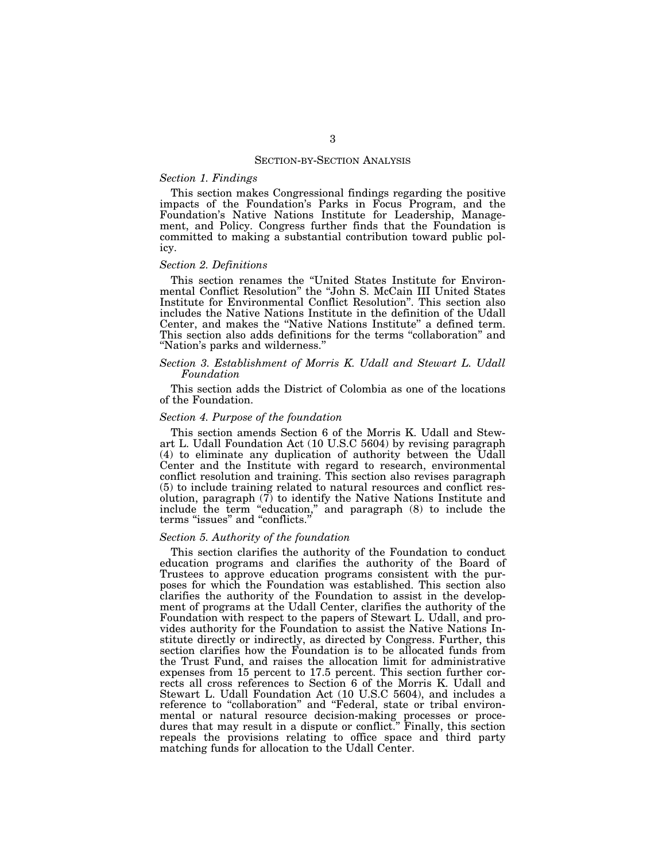#### SECTION-BY-SECTION ANALYSIS

## *Section 1. Findings*

This section makes Congressional findings regarding the positive impacts of the Foundation's Parks in Focus Program, and the Foundation's Native Nations Institute for Leadership, Management, and Policy. Congress further finds that the Foundation is committed to making a substantial contribution toward public policy.

## *Section 2. Definitions*

This section renames the ''United States Institute for Environmental Conflict Resolution'' the ''John S. McCain III United States Institute for Environmental Conflict Resolution''. This section also includes the Native Nations Institute in the definition of the Udall Center, and makes the ''Native Nations Institute'' a defined term. This section also adds definitions for the terms ''collaboration'' and ''Nation's parks and wilderness.''

#### *Section 3. Establishment of Morris K. Udall and Stewart L. Udall Foundation*

This section adds the District of Colombia as one of the locations of the Foundation.

### *Section 4. Purpose of the foundation*

This section amends Section 6 of the Morris K. Udall and Stewart L. Udall Foundation Act (10 U.S.C 5604) by revising paragraph (4) to eliminate any duplication of authority between the Udall Center and the Institute with regard to research, environmental conflict resolution and training. This section also revises paragraph (5) to include training related to natural resources and conflict resolution, paragraph (7) to identify the Native Nations Institute and include the term ''education,'' and paragraph (8) to include the terms "issues" and "conflicts.'

## *Section 5. Authority of the foundation*

This section clarifies the authority of the Foundation to conduct education programs and clarifies the authority of the Board of Trustees to approve education programs consistent with the purposes for which the Foundation was established. This section also clarifies the authority of the Foundation to assist in the development of programs at the Udall Center, clarifies the authority of the Foundation with respect to the papers of Stewart L. Udall, and provides authority for the Foundation to assist the Native Nations Institute directly or indirectly, as directed by Congress. Further, this section clarifies how the Foundation is to be allocated funds from the Trust Fund, and raises the allocation limit for administrative expenses from 15 percent to 17.5 percent. This section further corrects all cross references to Section 6 of the Morris K. Udall and Stewart L. Udall Foundation Act (10 U.S.C 5604), and includes a reference to "collaboration" and "Federal, state or tribal environmental or natural resource decision-making processes or procedures that may result in a dispute or conflict.'' Finally, this section repeals the provisions relating to office space and third party matching funds for allocation to the Udall Center.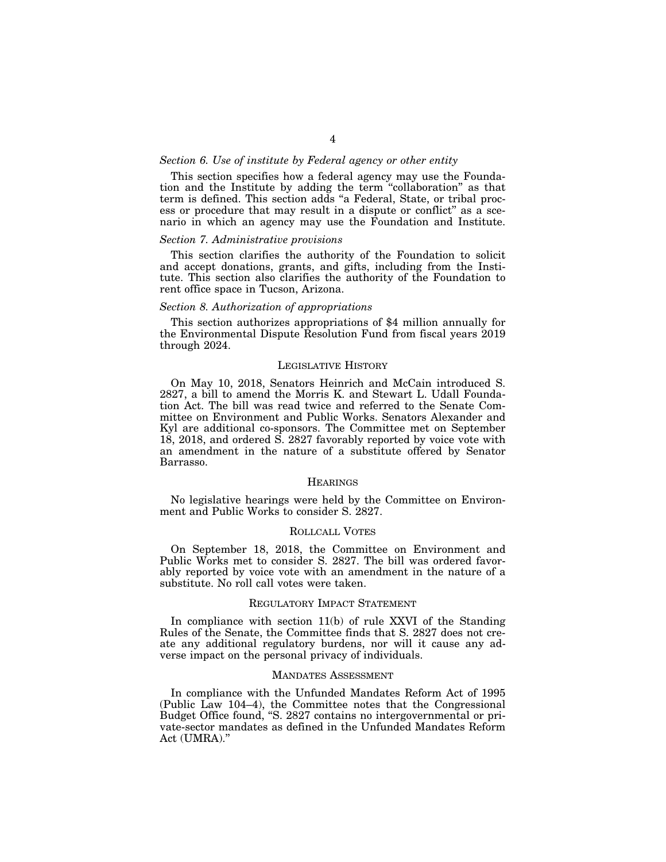## *Section 6. Use of institute by Federal agency or other entity*

This section specifies how a federal agency may use the Foundation and the Institute by adding the term ''collaboration'' as that term is defined. This section adds ''a Federal, State, or tribal process or procedure that may result in a dispute or conflict'' as a scenario in which an agency may use the Foundation and Institute.

#### *Section 7. Administrative provisions*

This section clarifies the authority of the Foundation to solicit and accept donations, grants, and gifts, including from the Institute. This section also clarifies the authority of the Foundation to rent office space in Tucson, Arizona.

#### *Section 8. Authorization of appropriations*

This section authorizes appropriations of \$4 million annually for the Environmental Dispute Resolution Fund from fiscal years 2019 through 2024.

#### LEGISLATIVE HISTORY

On May 10, 2018, Senators Heinrich and McCain introduced S. 2827, a bill to amend the Morris K. and Stewart L. Udall Foundation Act. The bill was read twice and referred to the Senate Committee on Environment and Public Works. Senators Alexander and Kyl are additional co-sponsors. The Committee met on September 18, 2018, and ordered S. 2827 favorably reported by voice vote with an amendment in the nature of a substitute offered by Senator Barrasso.

#### **HEARINGS**

No legislative hearings were held by the Committee on Environment and Public Works to consider S. 2827.

## ROLLCALL VOTES

On September 18, 2018, the Committee on Environment and Public Works met to consider S. 2827. The bill was ordered favorably reported by voice vote with an amendment in the nature of a substitute. No roll call votes were taken.

#### REGULATORY IMPACT STATEMENT

In compliance with section 11(b) of rule XXVI of the Standing Rules of the Senate, the Committee finds that S. 2827 does not create any additional regulatory burdens, nor will it cause any adverse impact on the personal privacy of individuals.

#### MANDATES ASSESSMENT

In compliance with the Unfunded Mandates Reform Act of 1995 (Public Law 104–4), the Committee notes that the Congressional Budget Office found, ''S. 2827 contains no intergovernmental or private-sector mandates as defined in the Unfunded Mandates Reform Act (UMRA).''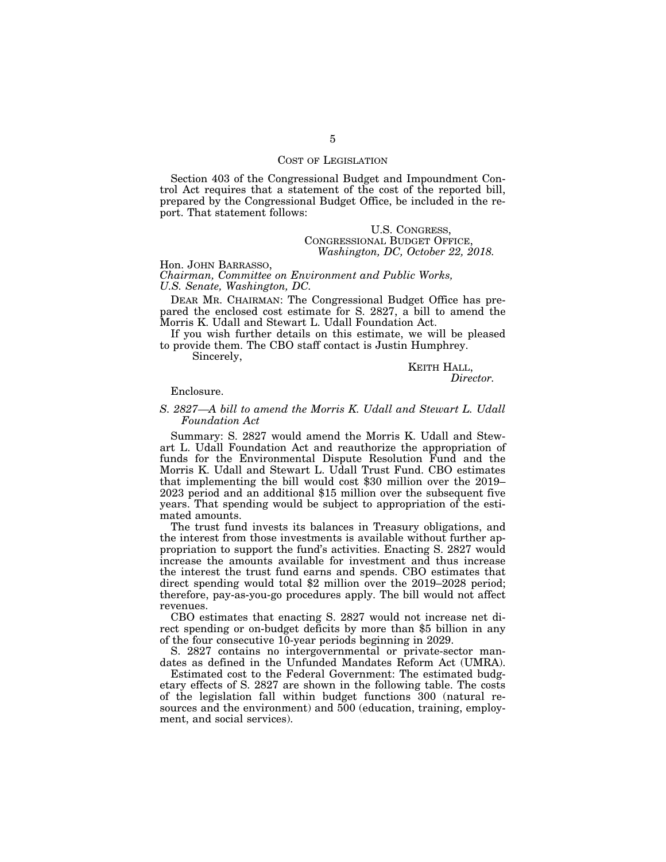## COST OF LEGISLATION

Section 403 of the Congressional Budget and Impoundment Control Act requires that a statement of the cost of the reported bill, prepared by the Congressional Budget Office, be included in the report. That statement follows:

> U.S. CONGRESS, CONGRESSIONAL BUDGET OFFICE, *Washington, DC, October 22, 2018.*

Hon. JOHN BARRASSO, *Chairman, Committee on Environment and Public Works, U.S. Senate, Washington, DC.* 

DEAR MR. CHAIRMAN: The Congressional Budget Office has prepared the enclosed cost estimate for S. 2827, a bill to amend the Morris K. Udall and Stewart L. Udall Foundation Act.

If you wish further details on this estimate, we will be pleased to provide them. The CBO staff contact is Justin Humphrey.

Sincerely,

## KEITH HALL, *Director.*

## Enclosure.

## *S. 2827—A bill to amend the Morris K. Udall and Stewart L. Udall Foundation Act*

Summary: S. 2827 would amend the Morris K. Udall and Stewart L. Udall Foundation Act and reauthorize the appropriation of funds for the Environmental Dispute Resolution Fund and the Morris K. Udall and Stewart L. Udall Trust Fund. CBO estimates that implementing the bill would cost \$30 million over the 2019– 2023 period and an additional \$15 million over the subsequent five years. That spending would be subject to appropriation of the estimated amounts.

The trust fund invests its balances in Treasury obligations, and the interest from those investments is available without further appropriation to support the fund's activities. Enacting S. 2827 would increase the amounts available for investment and thus increase the interest the trust fund earns and spends. CBO estimates that direct spending would total \$2 million over the 2019–2028 period; therefore, pay-as-you-go procedures apply. The bill would not affect revenues.

CBO estimates that enacting S. 2827 would not increase net direct spending or on-budget deficits by more than \$5 billion in any of the four consecutive 10-year periods beginning in 2029.

S. 2827 contains no intergovernmental or private-sector mandates as defined in the Unfunded Mandates Reform Act (UMRA).

Estimated cost to the Federal Government: The estimated budgetary effects of S. 2827 are shown in the following table. The costs of the legislation fall within budget functions 300 (natural resources and the environment) and 500 (education, training, employment, and social services).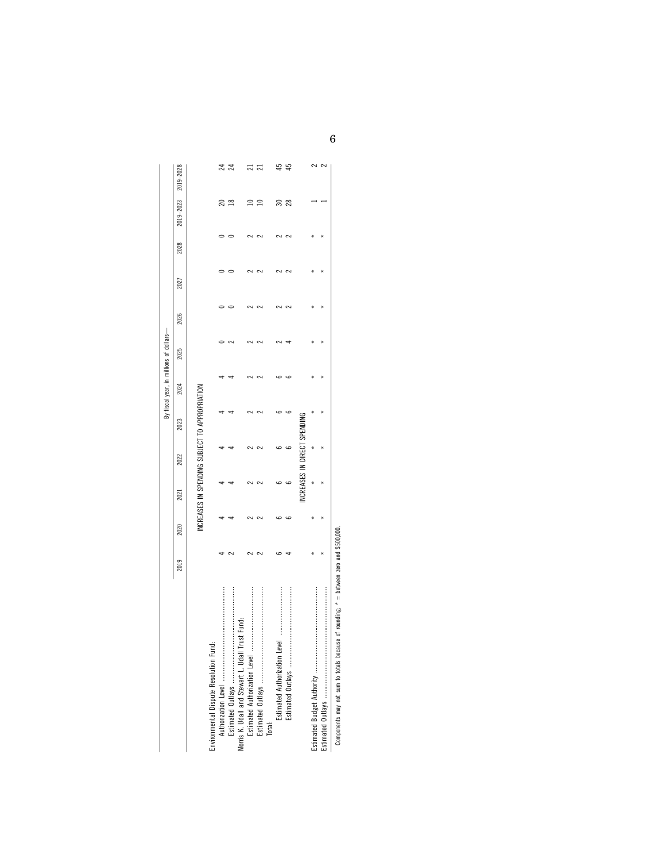|                                                                                       |      |      |      |                         |                                               | By fiscal year, in millions of dollars- |      |      |      |      |                             |    |
|---------------------------------------------------------------------------------------|------|------|------|-------------------------|-----------------------------------------------|-----------------------------------------|------|------|------|------|-----------------------------|----|
|                                                                                       | 2019 | 2020 | 2021 | 2022                    | 2023                                          | 2024                                    | 2025 | 2026 | 2027 | 2028 | $2019 - 2023$ $2019 - 2028$ |    |
|                                                                                       |      |      |      |                         | INCREASES IN SPENDING SUBJECT TO APPROPRIATIO |                                         |      |      |      |      |                             |    |
|                                                                                       |      |      |      |                         |                                               |                                         |      |      |      |      |                             |    |
| Environmental Dispute Resolution Fund:                                                |      |      |      |                         |                                               |                                         |      |      |      |      |                             |    |
|                                                                                       |      |      |      |                         |                                               |                                         |      |      |      |      |                             | ಸ  |
|                                                                                       |      |      |      |                         |                                               |                                         |      |      |      |      | ≌                           | Z  |
| Morris K. Udall and Stewart L. Udall Trust Fund                                       |      |      |      |                         |                                               |                                         |      |      |      |      |                             |    |
|                                                                                       |      |      |      |                         |                                               |                                         |      |      |      |      |                             | ಸ  |
|                                                                                       |      |      |      |                         |                                               |                                         |      |      |      |      | ≘                           | ಸ  |
| Total:                                                                                |      |      |      |                         |                                               |                                         |      |      |      |      |                             |    |
| Estimated Authorization Level                                                         |      |      |      |                         |                                               |                                         |      |      |      |      | వె                          |    |
|                                                                                       |      |      |      |                         |                                               |                                         |      |      |      |      | 28                          | 45 |
|                                                                                       |      |      |      | NCREASES IN DIRECT SPEN |                                               |                                         |      |      |      |      |                             |    |
|                                                                                       |      |      |      |                         |                                               |                                         |      |      |      |      |                             |    |
|                                                                                       |      |      |      |                         |                                               |                                         |      |      |      |      |                             | C  |
| Components may not sum to totals because of rounding; $* =$ between zero and \$500,00 |      |      |      |                         |                                               |                                         |      |      |      |      |                             |    |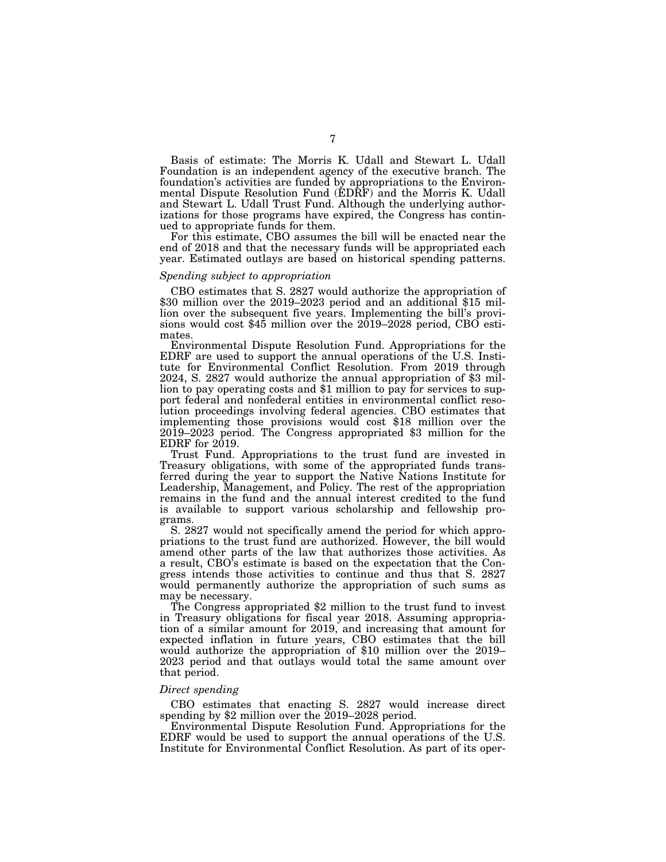Basis of estimate: The Morris K. Udall and Stewart L. Udall Foundation is an independent agency of the executive branch. The foundation's activities are funded by appropriations to the Environmental Dispute Resolution Fund (EDRF) and the Morris K. Udall and Stewart L. Udall Trust Fund. Although the underlying authorizations for those programs have expired, the Congress has continued to appropriate funds for them.

For this estimate, CBO assumes the bill will be enacted near the end of 2018 and that the necessary funds will be appropriated each year. Estimated outlays are based on historical spending patterns.

#### *Spending subject to appropriation*

CBO estimates that S. 2827 would authorize the appropriation of \$30 million over the 2019–2023 period and an additional \$15 million over the subsequent five years. Implementing the bill's provisions would cost \$45 million over the 2019–2028 period, CBO estimates.

Environmental Dispute Resolution Fund. Appropriations for the EDRF are used to support the annual operations of the U.S. Institute for Environmental Conflict Resolution. From 2019 through 2024, S. 2827 would authorize the annual appropriation of \$3 million to pay operating costs and \$1 million to pay for services to support federal and nonfederal entities in environmental conflict resolution proceedings involving federal agencies. CBO estimates that implementing those provisions would cost \$18 million over the 2019–2023 period. The Congress appropriated \$3 million for the EDRF for  $2019$ .

Trust Fund. Appropriations to the trust fund are invested in Treasury obligations, with some of the appropriated funds transferred during the year to support the Native Nations Institute for Leadership, Management, and Policy. The rest of the appropriation remains in the fund and the annual interest credited to the fund is available to support various scholarship and fellowship programs.

S. 2827 would not specifically amend the period for which appropriations to the trust fund are authorized. However, the bill would amend other parts of the law that authorizes those activities. As a result, CBO's estimate is based on the expectation that the Congress intends those activities to continue and thus that S. 2827 would permanently authorize the appropriation of such sums as may be necessary.

The Congress appropriated \$2 million to the trust fund to invest in Treasury obligations for fiscal year 2018. Assuming appropriation of a similar amount for 2019, and increasing that amount for expected inflation in future years, CBO estimates that the bill would authorize the appropriation of \$10 million over the 2019– 2023 period and that outlays would total the same amount over that period.

#### *Direct spending*

CBO estimates that enacting S. 2827 would increase direct spending by \$2 million over the  $2019-2028$  period.

Environmental Dispute Resolution Fund. Appropriations for the EDRF would be used to support the annual operations of the U.S. Institute for Environmental Conflict Resolution. As part of its oper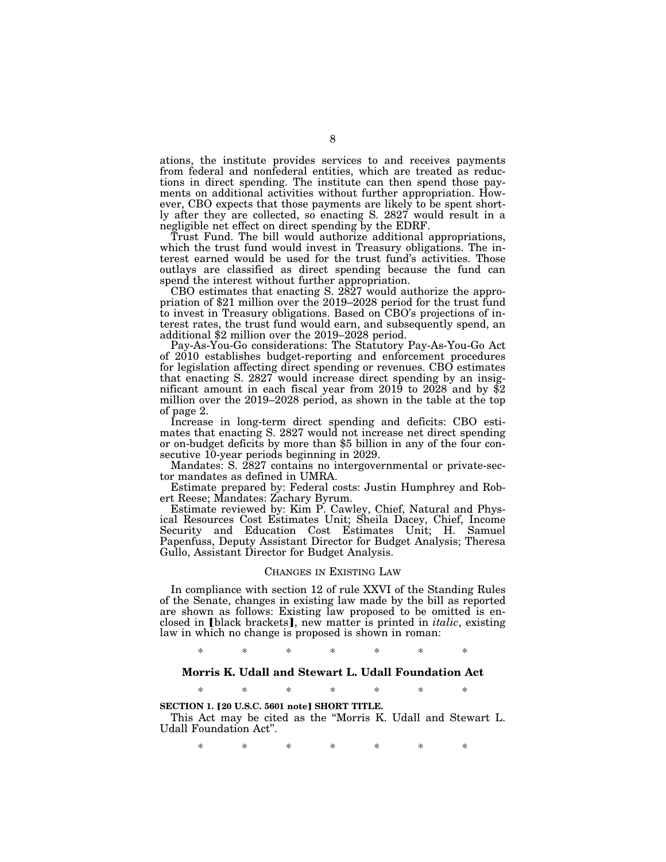ations, the institute provides services to and receives payments from federal and nonfederal entities, which are treated as reductions in direct spending. The institute can then spend those payments on additional activities without further appropriation. However, CBO expects that those payments are likely to be spent shortly after they are collected, so enacting S. 2827 would result in a negligible net effect on direct spending by the EDRF.

Trust Fund. The bill would authorize additional appropriations, which the trust fund would invest in Treasury obligations. The interest earned would be used for the trust fund's activities. Those outlays are classified as direct spending because the fund can spend the interest without further appropriation.

CBO estimates that enacting S.  $2827$  would authorize the appro-<br>priation of \$21 million over the 2019–2028 period for the trust fund to invest in Treasury obligations. Based on CBO's projections of interest rates, the trust fund would earn, and subsequently spend, an additional \$2 million over the 2019–2028 period.

Pay-As-You-Go considerations: The Statutory Pay-As-You-Go Act of 2010 establishes budget-reporting and enforcement procedures for legislation affecting direct spending or revenues. CBO estimates that enacting S. 2827 would increase direct spending by an insignificant amount in each fiscal year from 2019 to 2028 and by \$2 million over the 2019–2028 period, as shown in the table at the top of page 2.

Increase in long-term direct spending and deficits: CBO estimates that enacting S. 2827 would not increase net direct spending or on-budget deficits by more than \$5 billion in any of the four consecutive 10-year periods beginning in 2029.

Mandates: S. 2827 contains no intergovernmental or private-sector mandates as defined in UMRA.

Estimate prepared by: Federal costs: Justin Humphrey and Robert Reese; Mandates: Zachary Byrum.

Estimate reviewed by: Kim P. Cawley, Chief, Natural and Physical Resources Cost Estimates Unit; Sheila Dacey, Chief, Income Security and Education Cost Estimates Unit; H. Samuel Papenfuss, Deputy Assistant Director for Budget Analysis; Theresa Gullo, Assistant Director for Budget Analysis.

#### CHANGES IN EXISTING LAW

In compliance with section 12 of rule XXVI of the Standing Rules of the Senate, changes in existing law made by the bill as reported are shown as follows: Existing law proposed to be omitted is enclosed in [black brackets], new matter is printed in *italic*, existing law in which no change is proposed is shown in roman:

\* \* \* \* \* \* \*

## **Morris K. Udall and Stewart L. Udall Foundation Act**

\* \* \* \* \* \* \*

#### **SECTION 1. [20 U.S.C. 5601 note] SHORT TITLE.**

This Act may be cited as the ''Morris K. Udall and Stewart L. Udall Foundation Act''.

\* \* \* \* \* \* \*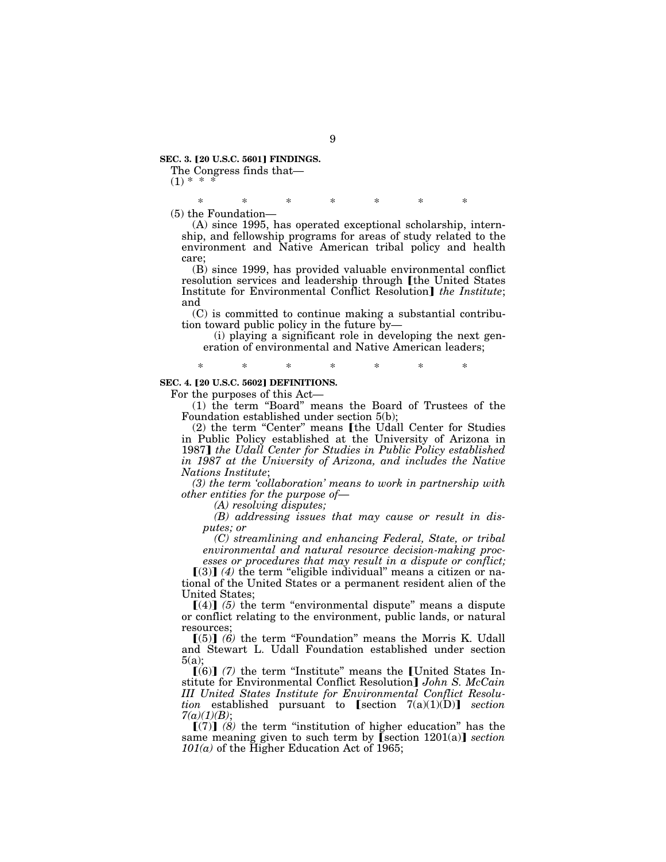**SEC. 3. [20 U.S.C. 5601] FINDINGS.** 

The Congress finds that—  $(1) * *$ 

\* \* \* \* \* \* \*

(5) the Foundation—

(A) since 1995, has operated exceptional scholarship, internship, and fellowship programs for areas of study related to the environment and Native American tribal policy and health care;

(B) since 1999, has provided valuable environmental conflict resolution services and leadership through [the United States Institute for Environmental Conflict Resolution] *the Institute*; and

(C) is committed to continue making a substantial contribution toward public policy in the future by—

(i) playing a significant role in developing the next generation of environmental and Native American leaders;

\* \* \* \* \* \* \*

# **SEC. 4. [20 U.S.C. 5602] DEFINITIONS.**

For the purposes of this Act—

(1) the term ''Board'' means the Board of Trustees of the Foundation established under section 5(b);

(2) the term "Center" means [the Udall Center for Studies in Public Policy established at the University of Arizona in 1987**]** *the Udall Center for Studies in Public Policy established in 1987 at the University of Arizona, and includes the Native Nations Institute*;

*(3) the term 'collaboration' means to work in partnership with other entities for the purpose of*—

*(A) resolving disputes;* 

*(B) addressing issues that may cause or result in disputes; or* 

*(C) streamlining and enhancing Federal, State, or tribal environmental and natural resource decision-making proc-*

*esses or procedures that may result in a dispute or conflict;*   $\lceil(3)\rceil$  (4) the term "eligible individual" means a citizen or national of the United States or a permanent resident alien of the United States;

 $[(4)]$  (5) the term "environmental dispute" means a dispute or conflict relating to the environment, public lands, or natural resources;

 $[(5)]$   $(6)$  the term "Foundation" means the Morris K. Udall and Stewart L. Udall Foundation established under section 5(a);

 $(6)$  (7) the term "Institute" means the United States Institute for Environmental Conflict Resolution] *John S. McCain III United States Institute for Environmental Conflict Resolution* established pursuant to  $[section 7(a)(1)(D)]$  *section 7(a)(1)(B)*;

 $\lceil (7) \rceil$  (8) the term "institution of higher education" has the same meaning given to such term by  $\lceil \text{section 1201(a)} \rceil$  *section*  $101(a)$  of the Higher Education Act of 1965;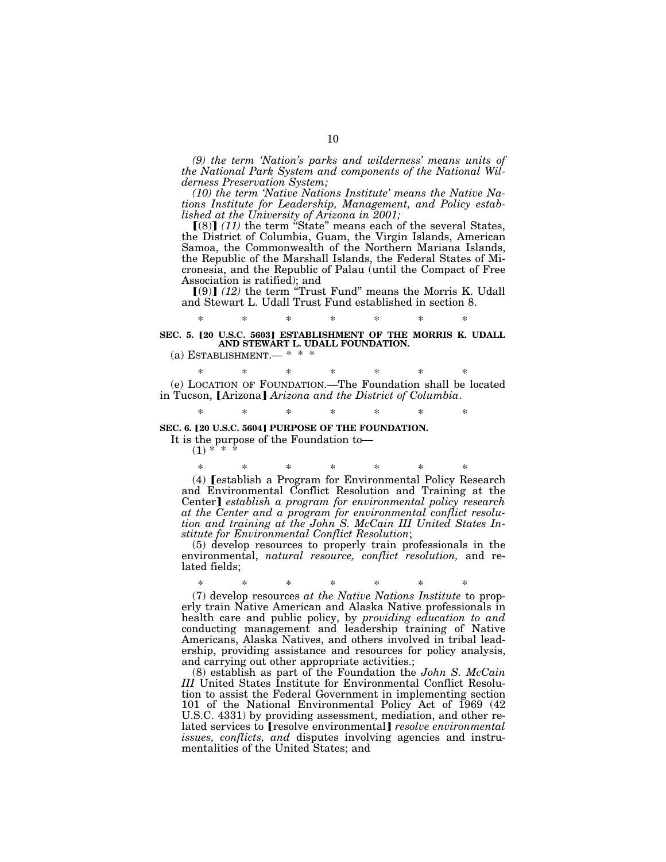*(9) the term 'Nation's parks and wilderness' means units of the National Park System and components of the National Wilderness Preservation System;* 

*(10) the term 'Native Nations Institute' means the Native Nations Institute for Leadership, Management, and Policy established at the University of Arizona in 2001;* 

 $(8)$  (11) the term "State" means each of the several States, the District of Columbia, Guam, the Virgin Islands, American Samoa, the Commonwealth of the Northern Mariana Islands, the Republic of the Marshall Islands, the Federal States of Micronesia, and the Republic of Palau (until the Compact of Free Association is ratified); and<br>
[(9)] *(12)* the term "Trust Fund" means the Morris K. Udall

and Stewart L. Udall Trust Fund established in section 8.

# \* \* \* \* \* \* \* SEC. 5. <sup>[20 U.S.C. 5603] ESTABLISHMENT OF THE MORRIS K. UDALL</sup> **AND STEWART L. UDALL FOUNDATION.**

(a) ESTABLISHMENT.— \* \* \*

\* \* \* \* \* \* \* (e) LOCATION OF FOUNDATION.—The Foundation shall be located in Tucson, *[Arizona] Arizona and the District of Columbia*.

\* \* \* \* \* \* \*

#### **SEC. 6. [20 U.S.C. 5604] PURPOSE OF THE FOUNDATION.**

It is the purpose of the Foundation to—

 $(1)$  \*

\* \* \* \* \* \* \* (4) [establish a Program for Environmental Policy Research and Environmental Conflict Resolution and Training at the Center] *establish a program for environmental policy research at the Center and a program for environmental conflict resolution and training at the John S. McCain III United States Institute for Environmental Conflict Resolution*;

(5) develop resources to properly train professionals in the environmental, *natural resource, conflict resolution,* and related fields;

\* \* \* \* \* \* \*

(7) develop resources *at the Native Nations Institute* to properly train Native American and Alaska Native professionals in health care and public policy, by *providing education to and*  conducting management and leadership training of Native Americans, Alaska Natives, and others involved in tribal leadership, providing assistance and resources for policy analysis, and carrying out other appropriate activities.;

(8) establish as part of the Foundation the *John S. McCain III* United States Institute for Environmental Conflict Resolution to assist the Federal Government in implementing section 101 of the National Environmental Policy Act of 1969 (42 U.S.C. 4331) by providing assessment, mediation, and other related services to **[**resolve environmental**]** *resolve environmental issues, conflicts, and* disputes involving agencies and instrumentalities of the United States; and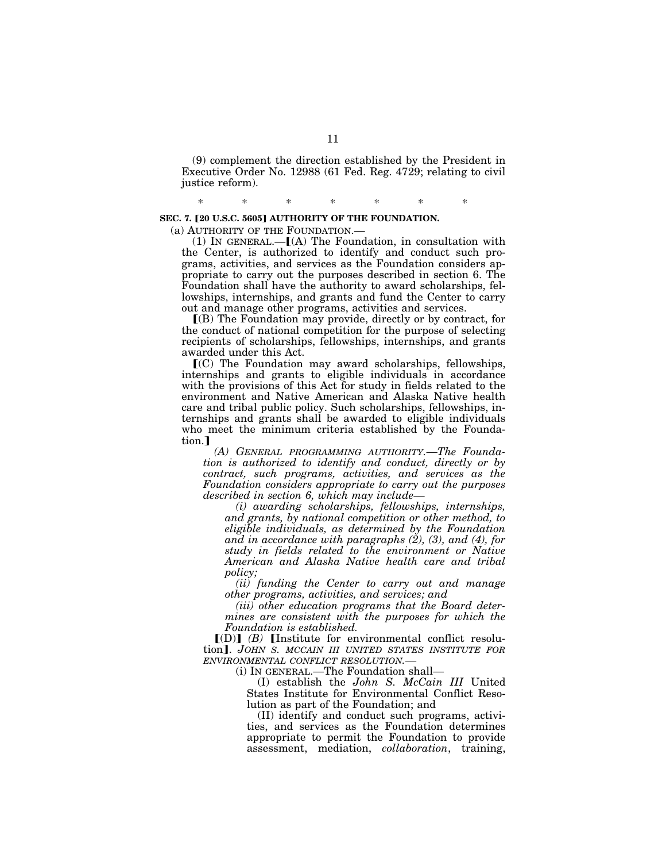(9) complement the direction established by the President in Executive Order No. 12988 (61 Fed. Reg. 4729; relating to civil justice reform).

\* \* \* \* \* \* \*

## **SEC. 7. [20 U.S.C. 5605] AUTHORITY OF THE FOUNDATION.**

(a) AUTHORITY OF THE FOUNDATION.—

(1) IN GENERAL.— $[(A)$  The Foundation, in consultation with the Center, is authorized to identify and conduct such programs, activities, and services as the Foundation considers appropriate to carry out the purposes described in section 6. The Foundation shall have the authority to award scholarships, fellowships, internships, and grants and fund the Center to carry out and manage other programs, activities and services.

ø(B) The Foundation may provide, directly or by contract, for the conduct of national competition for the purpose of selecting recipients of scholarships, fellowships, internships, and grants awarded under this Act.

 $(C)$  The Foundation may award scholarships, fellowships, internships and grants to eligible individuals in accordance with the provisions of this Act for study in fields related to the environment and Native American and Alaska Native health care and tribal public policy. Such scholarships, fellowships, internships and grants shall be awarded to eligible individuals who meet the minimum criteria established by the Foundation.

*(A) GENERAL PROGRAMMING AUTHORITY.—The Foundation is authorized to identify and conduct, directly or by contract, such programs, activities, and services as the Foundation considers appropriate to carry out the purposes described in section 6, which may include—* 

*(i) awarding scholarships, fellowships, internships, and grants, by national competition or other method, to eligible individuals, as determined by the Foundation and in accordance with paragraphs (2), (3), and (4), for study in fields related to the environment or Native American and Alaska Native health care and tribal policy;* 

*(ii) funding the Center to carry out and manage other programs, activities, and services; and* 

*(iii) other education programs that the Board determines are consistent with the purposes for which the Foundation is established.* 

 $[(D)]$   $(B)$  [Institute for environmental conflict resolution]. *JOHN S. MCCAIN III UNITED STATES INSTITUTE FOR ENVIRONMENTAL CONFLICT RESOLUTION.—* 

(i) IN GENERAL.—The Foundation shall—

(I) establish the *John S. McCain III* United States Institute for Environmental Conflict Resolution as part of the Foundation; and

(II) identify and conduct such programs, activities, and services as the Foundation determines appropriate to permit the Foundation to provide assessment, mediation, *collaboration*, training,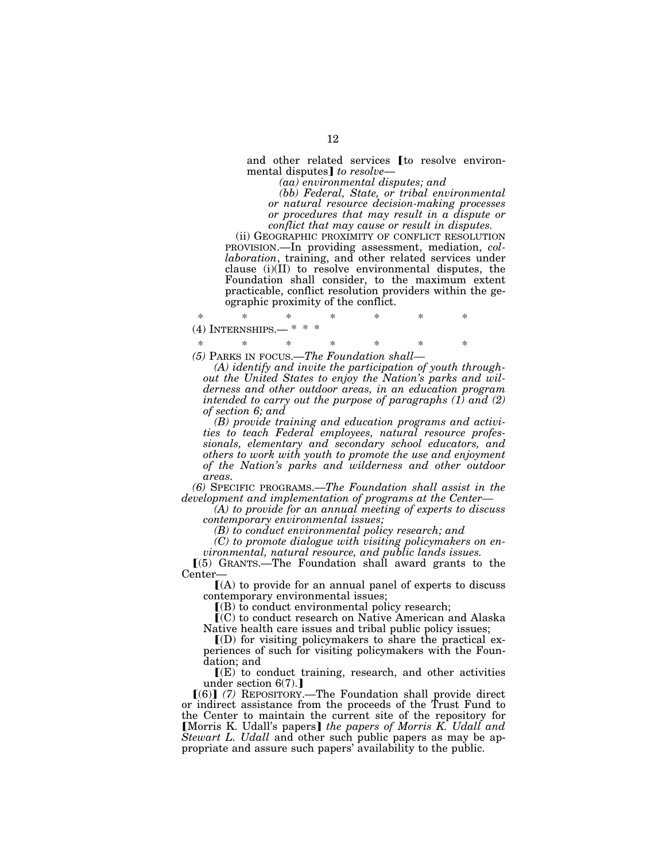and other related services  $[$  to resolve environ-<br>mental disputes $]$  to resolve—

mental disputes¿ *to resolve*— *(aa) environmental disputes; and* 

*(bb) Federal, State, or tribal environmental or natural resource decision-making processes or procedures that may result in a dispute or conflict that may cause or result in disputes.* 

(ii) GEOGRAPHIC PROXIMITY OF CONFLICT RESOLUTION PROVISION.—In providing assessment, mediation, *collaboration*, training, and other related services under clause (i)(II) to resolve environmental disputes, the Foundation shall consider, to the maximum extent practicable, conflict resolution providers within the geographic proximity of the conflict.

\* \* \* \* \* \* \*  $(4)$  INTERNSHIPS.—

\* \* \* \* \* \* \*

*(5)* PARKS IN FOCUS.—*The Foundation shall—* 

*(A) identify and invite the participation of youth throughout the United States to enjoy the Nation's parks and wilderness and other outdoor areas, in an education program intended to carry out the purpose of paragraphs (1) and (2) of section 6; and* 

*(B) provide training and education programs and activities to teach Federal employees, natural resource professionals, elementary and secondary school educators, and others to work with youth to promote the use and enjoyment of the Nation's parks and wilderness and other outdoor areas.* 

*(6)* SPECIFIC PROGRAMS.—*The Foundation shall assist in the development and implementation of programs at the Center—* 

*(A) to provide for an annual meeting of experts to discuss contemporary environmental issues;* 

*(B) to conduct environmental policy research; and* 

*(C) to promote dialogue with visiting policymakers on environmental, natural resource, and public lands issues.* 

 $(5)$  GRANTS.—The Foundation shall award grants to the Center—

 $(A)$  to provide for an annual panel of experts to discuss contemporary environmental issues;

 $($ B $)$  to conduct environmental policy research;

 $\mathbf{I}(\mathbf{C})$  to conduct research on Native American and Alaska Native health care issues and tribal public policy issues;

 $I(D)$  for visiting policymakers to share the practical experiences of such for visiting policymakers with the Foundation; and

 $\Gamma(E)$  to conduct training, research, and other activities under section  $6(7)$ .

[(6)] (7) REPOSITORY.—The Foundation shall provide direct or indirect assistance from the proceeds of the Trust Fund to the Center to maintain the current site of the repository for **[Morris K. Udall's papers]** the papers of Morris K. Udall and *Stewart L. Udall* and other such public papers as may be appropriate and assure such papers' availability to the public.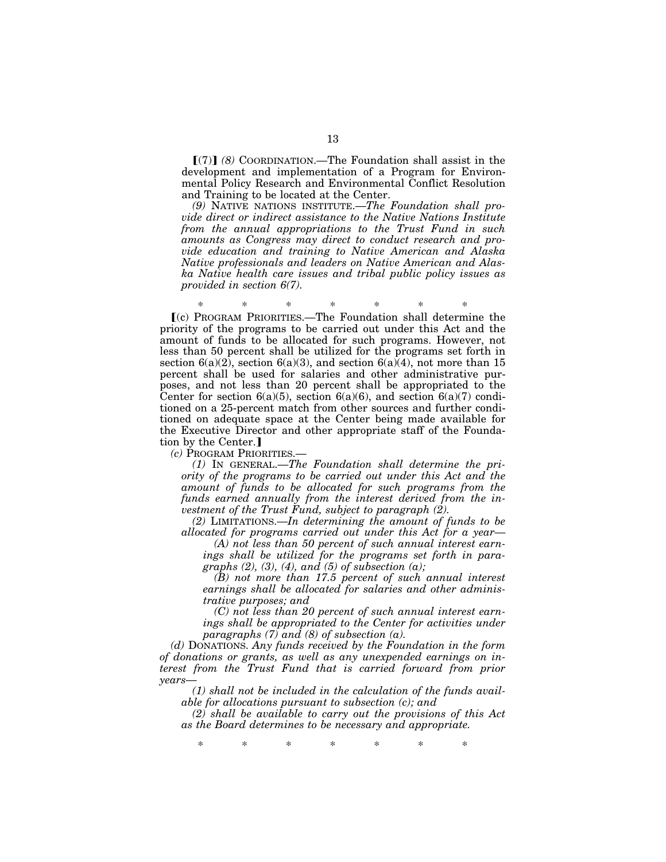$\lceil (7) \rceil$  (8) COORDINATION.—The Foundation shall assist in the development and implementation of a Program for Environmental Policy Research and Environmental Conflict Resolution and Training to be located at the Center.

*(9)* NATIVE NATIONS INSTITUTE.—*The Foundation shall provide direct or indirect assistance to the Native Nations Institute from the annual appropriations to the Trust Fund in such amounts as Congress may direct to conduct research and provide education and training to Native American and Alaska Native professionals and leaders on Native American and Alaska Native health care issues and tribal public policy issues as provided in section 6(7).* 

\* \* \* \* \* \* \* ø(c) PROGRAM PRIORITIES.—The Foundation shall determine the priority of the programs to be carried out under this Act and the amount of funds to be allocated for such programs. However, not less than 50 percent shall be utilized for the programs set forth in section  $6(a)(2)$ , section  $6(a)(3)$ , and section  $6(a)(4)$ , not more than 15 percent shall be used for salaries and other administrative purposes, and not less than 20 percent shall be appropriated to the Center for section  $6(a)(5)$ , section  $6(a)(6)$ , and section  $6(a)(7)$  conditioned on a 25-percent match from other sources and further conditioned on adequate space at the Center being made available for the Executive Director and other appropriate staff of the Foundation by the Center.

*(c)* PROGRAM PRIORITIES.—

*(1)* IN GENERAL.—*The Foundation shall determine the priority of the programs to be carried out under this Act and the amount of funds to be allocated for such programs from the funds earned annually from the interest derived from the investment of the Trust Fund, subject to paragraph (2).* 

*(2)* LIMITATIONS.—*In determining the amount of funds to be allocated for programs carried out under this Act for a year*—

*(A) not less than 50 percent of such annual interest earnings shall be utilized for the programs set forth in paragraphs (2), (3), (4), and (5) of subsection (a);* 

*(B) not more than 17.5 percent of such annual interest earnings shall be allocated for salaries and other administrative purposes; and* 

*(C) not less than 20 percent of such annual interest earnings shall be appropriated to the Center for activities under paragraphs (7) and (8) of subsection (a).* 

*(d)* DONATIONS. *Any funds received by the Foundation in the form of donations or grants, as well as any unexpended earnings on interest from the Trust Fund that is carried forward from prior years*—

*(1) shall not be included in the calculation of the funds available for allocations pursuant to subsection (c); and* 

*(2) shall be available to carry out the provisions of this Act as the Board determines to be necessary and appropriate.* 

\* \* \* \* \* \* \*